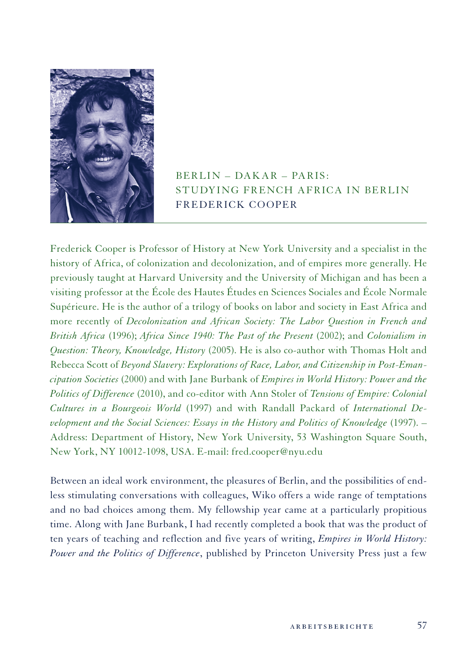

## $BERLIN - DAKAR - PARIS$ : STUDYING FRENCH AFRICA IN BERLIN Frederick Cooper

Frederick Cooper is Professor of History at New York University and a specialist in the history of Africa, of colonization and decolonization, and of empires more generally. He previously taught at Harvard University and the University of Michigan and has been a visiting professor at the École des Hautes Études en Sciences Sociales and École Normale Supérieure. He is the author of a trilogy of books on labor and society in East Africa and more recently of *Decolonization and African Society: The Labor Question in French and British Africa* (1996); *Africa Since 1940: The Past of the Present* (2002); and *Colonialism in Question: Theory, Knowledge, History* (2005). He is also co-author with Thomas Holt and Rebecca Scott of *Beyond Slavery: Explorations of Race, Labor, and Citizenship in Post-Emancipation Societies* (2000) and with Jane Burbank of *Empires in World History: Power and the Politics of Difference* (2010), and co-editor with Ann Stoler of *Tensions of Empire: Colonial Cultures in a Bourgeois World* (1997) and with Randall Packard of *International Development and the Social Sciences: Essays in the History and Politics of Knowledge* (1997). – Address: Department of History, New York University, 53 Washington Square South, New York, NY 10012-1098, USA. E-mail: fred.cooper@nyu.edu

Between an ideal work environment, the pleasures of Berlin, and the possibilities of endless stimulating conversations with colleagues, Wiko offers a wide range of temptations and no bad choices among them. My fellowship year came at a particularly propitious time. Along with Jane Burbank, I had recently completed a book that was the product of ten years of teaching and reflection and five years of writing, *Empires in World History: Power and the Politics of Difference*, published by Princeton University Press just a few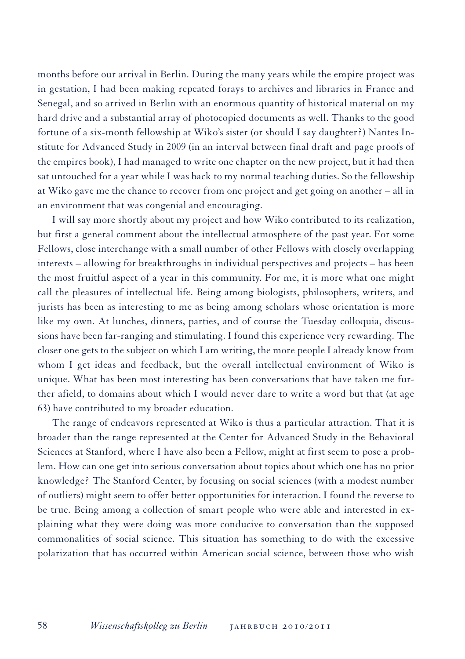months before our arrival in Berlin. During the many years while the empire project was in gestation, I had been making repeated forays to archives and libraries in France and Senegal, and so arrived in Berlin with an enormous quantity of historical material on my hard drive and a substantial array of photocopied documents as well. Thanks to the good fortune of a six-month fellowship at Wiko's sister (or should I say daughter?) Nantes Institute for Advanced Study in 2009 (in an interval between final draft and page proofs of the empires book), I had managed to write one chapter on the new project, but it had then sat untouched for a year while I was back to my normal teaching duties. So the fellowship at Wiko gave me the chance to recover from one project and get going on another – all in an environment that was congenial and encouraging.

I will say more shortly about my project and how Wiko contributed to its realization, but first a general comment about the intellectual atmosphere of the past year. For some Fellows, close interchange with a small number of other Fellows with closely overlapping interests – allowing for breakthroughs in individual perspectives and projects – has been the most fruitful aspect of a year in this community. For me, it is more what one might call the pleasures of intellectual life. Being among biologists, philosophers, writers, and jurists has been as interesting to me as being among scholars whose orientation is more like my own. At lunches, dinners, parties, and of course the Tuesday colloquia, discussions have been far-ranging and stimulating. I found this experience very rewarding. The closer one gets to the subject on which I am writing, the more people I already know from whom I get ideas and feedback, but the overall intellectual environment of Wiko is unique. What has been most interesting has been conversations that have taken me further afield, to domains about which I would never dare to write a word but that (at age 63) have contributed to my broader education.

The range of endeavors represented at Wiko is thus a particular attraction. That it is broader than the range represented at the Center for Advanced Study in the Behavioral Sciences at Stanford, where I have also been a Fellow, might at first seem to pose a problem. How can one get into serious conversation about topics about which one has no prior knowledge? The Stanford Center, by focusing on social sciences (with a modest number of outliers) might seem to offer better opportunities for interaction. I found the reverse to be true. Being among a collection of smart people who were able and interested in explaining what they were doing was more conducive to conversation than the supposed commonalities of social science. This situation has something to do with the excessive polarization that has occurred within American social science, between those who wish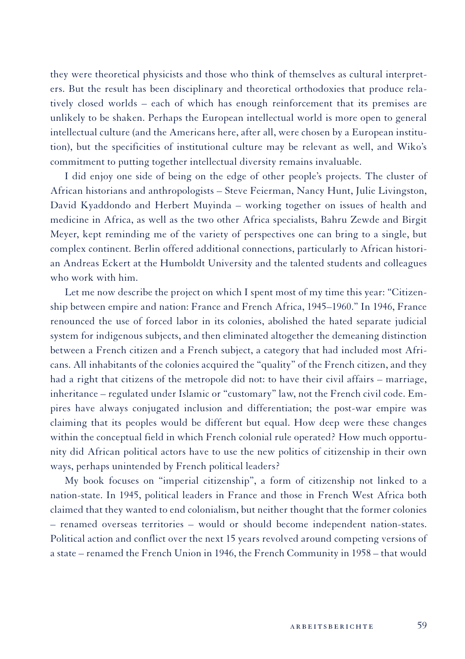they were theoretical physicists and those who think of themselves as cultural interpreters. But the result has been disciplinary and theoretical orthodoxies that produce relatively closed worlds – each of which has enough reinforcement that its premises are unlikely to be shaken. Perhaps the European intellectual world is more open to general intellectual culture (and the Americans here, after all, were chosen by a European institution), but the specificities of institutional culture may be relevant as well, and Wiko's commitment to putting together intellectual diversity remains invaluable.

I did enjoy one side of being on the edge of other people's projects. The cluster of African historians and anthropologists – Steve Feierman, Nancy Hunt, Julie Livingston, David Kyaddondo and Herbert Muyinda – working together on issues of health and medicine in Africa, as well as the two other Africa specialists, Bahru Zewde and Birgit Meyer, kept reminding me of the variety of perspectives one can bring to a single, but complex continent. Berlin offered additional connections, particularly to African historian Andreas Eckert at the Humboldt University and the talented students and colleagues who work with him.

Let me now describe the project on which I spent most of my time this year: "Citizenship between empire and nation: France and French Africa, 1945–1960." In 1946, France renounced the use of forced labor in its colonies, abolished the hated separate judicial system for indigenous subjects, and then eliminated altogether the demeaning distinction between a French citizen and a French subject, a category that had included most Africans. All inhabitants of the colonies acquired the "quality" of the French citizen, and they had a right that citizens of the metropole did not: to have their civil affairs – marriage, inheritance – regulated under Islamic or "customary" law, not the French civil code. Empires have always conjugated inclusion and differentiation; the post-war empire was claiming that its peoples would be different but equal. How deep were these changes within the conceptual field in which French colonial rule operated? How much opportunity did African political actors have to use the new politics of citizenship in their own ways, perhaps unintended by French political leaders?

My book focuses on "imperial citizenship", a form of citizenship not linked to a nation-state. In 1945, political leaders in France and those in French West Africa both claimed that they wanted to end colonialism, but neither thought that the former colonies – renamed overseas territories – would or should become independent nation-states. Political action and conflict over the next 15 years revolved around competing versions of a state – renamed the French Union in 1946, the French Community in 1958 – that would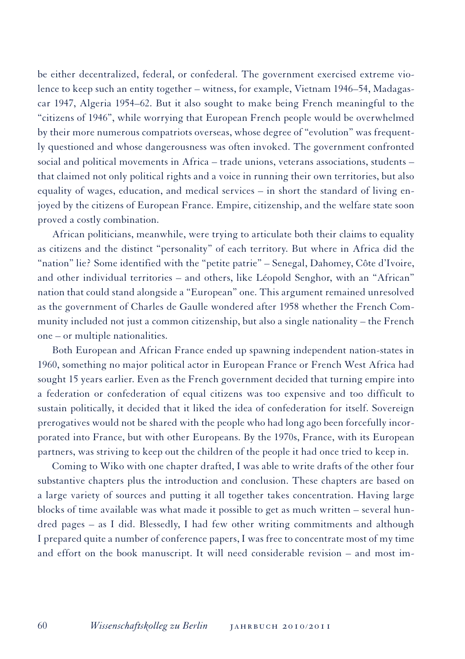be either decentralized, federal, or confederal. The government exercised extreme violence to keep such an entity together – witness, for example, Vietnam 1946–54, Madagascar 1947, Algeria 1954–62. But it also sought to make being French meaningful to the "citizens of 1946", while worrying that European French people would be overwhelmed by their more numerous compatriots overseas, whose degree of "evolution" was frequently questioned and whose dangerousness was often invoked. The government confronted social and political movements in Africa – trade unions, veterans associations, students – that claimed not only political rights and a voice in running their own territories, but also equality of wages, education, and medical services  $-$  in short the standard of living enjoyed by the citizens of European France. Empire, citizenship, and the welfare state soon proved a costly combination.

African politicians, meanwhile, were trying to articulate both their claims to equality as citizens and the distinct "personality" of each territory. But where in Africa did the "nation" lie? Some identified with the "petite patrie" – Senegal, Dahomey, Côte d'Ivoire, and other individual territories – and others, like Léopold Senghor, with an "African" nation that could stand alongside a "European" one. This argument remained unresolved as the government of Charles de Gaulle wondered after 1958 whether the French Community included not just a common citizenship, but also a single nationality – the French one – or multiple nationalities.

Both European and African France ended up spawning independent nation-states in 1960, something no major political actor in European France or French West Africa had sought 15 years earlier. Even as the French government decided that turning empire into a federation or confederation of equal citizens was too expensive and too difficult to sustain politically, it decided that it liked the idea of confederation for itself. Sovereign prerogatives would not be shared with the people who had long ago been forcefully incorporated into France, but with other Europeans. By the 1970s, France, with its European partners, was striving to keep out the children of the people it had once tried to keep in.

Coming to Wiko with one chapter drafted, I was able to write drafts of the other four substantive chapters plus the introduction and conclusion. These chapters are based on a large variety of sources and putting it all together takes concentration. Having large blocks of time available was what made it possible to get as much written – several hundred pages – as I did. Blessedly, I had few other writing commitments and although I prepared quite a number of conference papers, I was free to concentrate most of my time and effort on the book manuscript. It will need considerable revision – and most im